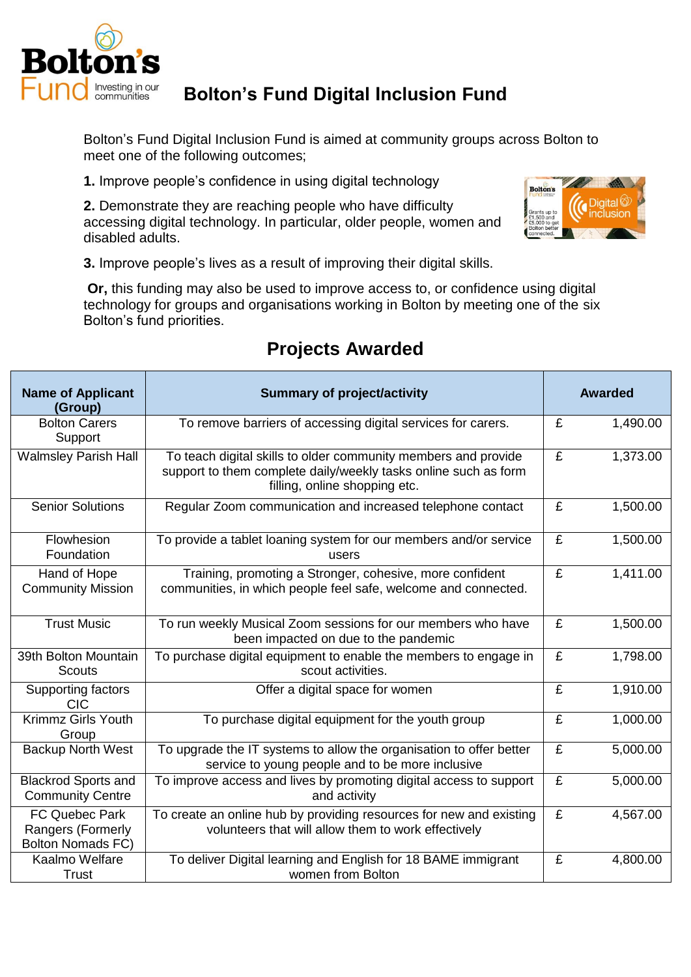

## **Bolton's Fund Digital Inclusion Fund**

Bolton's Fund Digital Inclusion Fund is aimed at community groups across Bolton to meet one of the following outcomes;

**1.** Improve people's confidence in using digital technology

**2.** Demonstrate they are reaching people who have difficulty accessing digital technology. In particular, older people, women and disabled adults.



**3.** Improve people's lives as a result of improving their digital skills.

**Or,** this funding may also be used to improve access to, or confidence using digital technology for groups and organisations working in Bolton by meeting one of the six Bolton's fund priorities.

| <b>Name of Applicant</b><br>(Group)                             | <b>Summary of project/activity</b>                                                                                                                                 | <b>Awarded</b> |          |
|-----------------------------------------------------------------|--------------------------------------------------------------------------------------------------------------------------------------------------------------------|----------------|----------|
| <b>Bolton Carers</b><br>Support                                 | To remove barriers of accessing digital services for carers.                                                                                                       | £              | 1,490.00 |
| <b>Walmsley Parish Hall</b>                                     | To teach digital skills to older community members and provide<br>support to them complete daily/weekly tasks online such as form<br>filling, online shopping etc. | £              | 1,373.00 |
| <b>Senior Solutions</b>                                         | Regular Zoom communication and increased telephone contact                                                                                                         | £              | 1,500.00 |
| Flowhesion<br>Foundation                                        | To provide a tablet loaning system for our members and/or service<br>users                                                                                         | £              | 1,500.00 |
| Hand of Hope<br><b>Community Mission</b>                        | Training, promoting a Stronger, cohesive, more confident<br>communities, in which people feel safe, welcome and connected.                                         | £              | 1,411.00 |
| <b>Trust Music</b>                                              | To run weekly Musical Zoom sessions for our members who have<br>been impacted on due to the pandemic                                                               | £              | 1,500.00 |
| 39th Bolton Mountain<br><b>Scouts</b>                           | To purchase digital equipment to enable the members to engage in<br>scout activities.                                                                              | £              | 1,798.00 |
| Supporting factors<br><b>CIC</b>                                | Offer a digital space for women                                                                                                                                    | £              | 1,910.00 |
| <b>Krimmz Girls Youth</b><br>Group                              | To purchase digital equipment for the youth group                                                                                                                  | £              | 1,000.00 |
| <b>Backup North West</b>                                        | To upgrade the IT systems to allow the organisation to offer better<br>service to young people and to be more inclusive                                            | £              | 5,000.00 |
| <b>Blackrod Sports and</b><br><b>Community Centre</b>           | To improve access and lives by promoting digital access to support<br>and activity                                                                                 | £              | 5,000.00 |
| FC Quebec Park<br>Rangers (Formerly<br><b>Bolton Nomads FC)</b> | To create an online hub by providing resources for new and existing<br>volunteers that will allow them to work effectively                                         | £              | 4,567.00 |
| Kaalmo Welfare<br>Trust                                         | To deliver Digital learning and English for 18 BAME immigrant<br>women from Bolton                                                                                 | £              | 4,800.00 |

## **Projects Awarded**